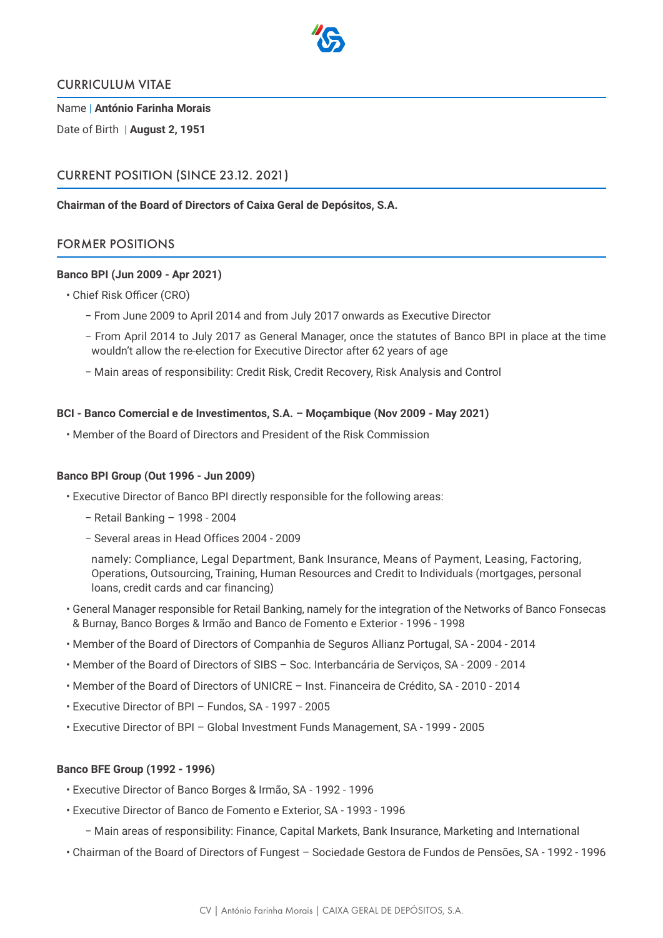

### CURRICULUM VITAE

Name | **António Farinha Morais**

Date of Birth | **August 2, 1951**

# CURRENT POSITION (SINCE 23.12. 2021)

### **Chairman of the Board of Directors of Caixa Geral de Depósitos, S.A.**

# FORMER POSITIONS

#### **Banco BPI (Jun 2009 - Apr 2021)**

- Chief Risk Officer (CRO)
	- − From June 2009 to April 2014 and from July 2017 onwards as Executive Director
	- − From April 2014 to July 2017 as General Manager, once the statutes of Banco BPI in place at the time wouldn't allow the re-election for Executive Director after 62 years of age
	- − Main areas of responsibility: Credit Risk, Credit Recovery, Risk Analysis and Control

#### **BCI - Banco Comercial e de Investimentos, S.A. – Moçambique (Nov 2009 - May 2021)**

• Member of the Board of Directors and President of the Risk Commission

# **Banco BPI Group (Out 1996 - Jun 2009)**

- Executive Director of Banco BPI directly responsible for the following areas:
	- − Retail Banking 1998 2004
	- − Several areas in Head Offices 2004 2009

namely: Compliance, Legal Department, Bank Insurance, Means of Payment, Leasing, Factoring, Operations, Outsourcing, Training, Human Resources and Credit to Individuals (mortgages, personal loans, credit cards and car financing)

- General Manager responsible for Retail Banking, namely for the integration of the Networks of Banco Fonsecas & Burnay, Banco Borges & Irmão and Banco de Fomento e Exterior - 1996 - 1998
- Member of the Board of Directors of Companhia de Seguros Allianz Portugal, SA 2004 2014
- Member of the Board of Directors of SIBS Soc. Interbancária de Serviços, SA 2009 2014
- Member of the Board of Directors of UNICRE Inst. Financeira de Crédito, SA 2010 2014
- Executive Director of BPI Fundos, SA 1997 2005
- Executive Director of BPI Global Investment Funds Management, SA 1999 2005

### **Banco BFE Group (1992 - 1996)**

- Executive Director of Banco Borges & Irmão, SA 1992 1996
- Executive Director of Banco de Fomento e Exterior, SA 1993 1996
	- − Main areas of responsibility: Finance, Capital Markets, Bank Insurance, Marketing and International
- Chairman of the Board of Directors of Fungest Sociedade Gestora de Fundos de Pensões, SA 1992 1996